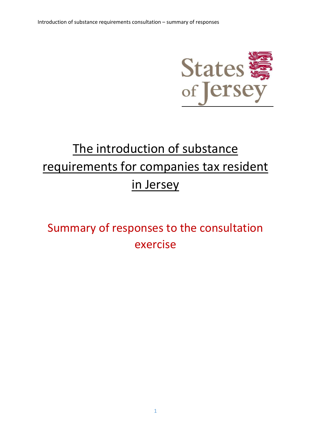

# The introduction of substance requirements for companies tax resident in Jersey

## Summary of responses to the consultation exercise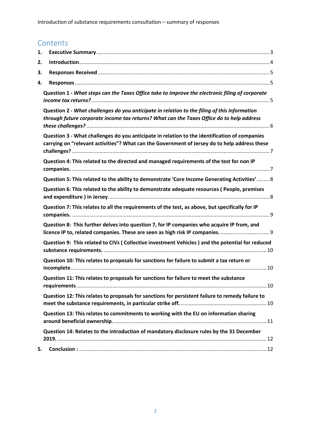### **Contents**

| 1. |                                                                                                                                                                                                |
|----|------------------------------------------------------------------------------------------------------------------------------------------------------------------------------------------------|
| 2. |                                                                                                                                                                                                |
| 3. |                                                                                                                                                                                                |
| 4. |                                                                                                                                                                                                |
|    | Question 1 - What steps can the Taxes Office take to improve the electronic filing of corporate                                                                                                |
|    | Question 2 - What challenges do you anticipate in relation to the filing of this information<br>through future corporate income tax returns? What can the Taxes Office do to help address      |
|    | Question 3 - What challenges do you anticipate in relation to the identification of companies<br>carrying on "relevant activities"? What can the Government of Jersey do to help address these |
|    | Question 4: This related to the directed and managed requirements of the test for non IP                                                                                                       |
|    | Question 5: This related to the ability to demonstrate 'Core Income Generating Activities' 8                                                                                                   |
|    | Question 6: This related to the ability to demonstrate adequate resources (People, premises                                                                                                    |
|    | Question 7: This relates to all the requirements of the test, as above, but specifically for IP                                                                                                |
|    | Question 8: This further delves into question 7, for IP companies who acquire IP from, and<br>licence IP to, related companies. These are seen as high risk IP companies.                      |
|    | Question 9: This related to CIVs (Collective investment Vehicles) and the potential for reduced                                                                                                |
|    | Question 10: This relates to proposals for sanctions for failure to submit a tax return or                                                                                                     |
|    | Question 11: This relates to proposals for sanctions for failure to meet the substance                                                                                                         |
|    | Question 12: This relates to proposals for sanctions for persistent failure to remedy failure to                                                                                               |
|    | Question 13: This relates to commitments to working with the EU on information sharing                                                                                                         |
|    | Question 14: Relates to the introduction of mandatory disclosure rules by the 31 December                                                                                                      |
| 5. |                                                                                                                                                                                                |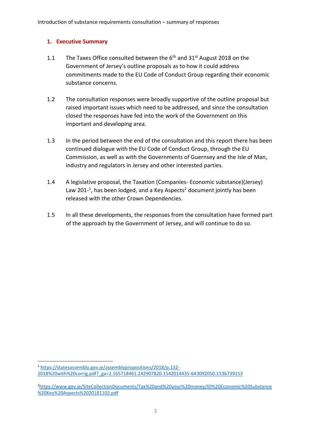#### <span id="page-2-0"></span>**1. Executive Summary**

- 1.1 The Taxes Office consulted between the  $6<sup>th</sup>$  and 31<sup>st</sup> August 2018 on the Government of Jersey's outline proposals as to how it could address commitments made to the EU Code of Conduct Group regarding their economic substance concerns.
- 1.2 The consultation responses were broadly supportive of the outline proposal but raised important issues which need to be addressed, and since the consultation closed the responses have fed into the work of the Government on this important and developing area.
- 1.3 In the period between the end of the consultation and this report there has been continued dialogue with the EU Code of Conduct Group, through the EU Commission, as well as with the Governments of Guernsey and the Isle of Man, industry and regulators in Jersey and other interested parties.
- 1.4 A legislative proposal, the Taxation (Companies- Economic substance)(Jersey) Law 201-<sup>1</sup>, has been lodged, and a Key Aspects<sup>2</sup> document jointly has been released with the other Crown Dependencies.
- 1.5 In all these developments, the responses from the consultation have formed part of the approach by the Government of Jersey, and will continue to do so.

**<sup>.</sup>** <sup>1</sup> [https://statesassembly.gov.je/assemblypropositions/2018/p.132-](https://statesassembly.gov.je/assemblypropositions/2018/p.132-2018%20with%20corrig.pdf?_ga=2.165718461.242907820.1542014435-643092050.1536739153) [2018%20with%20corrig.pdf?\\_ga=2.165718461.242907820.1542014435-643092050.1536739153](https://statesassembly.gov.je/assemblypropositions/2018/p.132-2018%20with%20corrig.pdf?_ga=2.165718461.242907820.1542014435-643092050.1536739153)

<sup>2</sup>[https://www.gov.je/SiteCollectionDocuments/Tax%20and%20your%20money/ID%20Economic%20Substance](https://www.gov.je/SiteCollectionDocuments/Tax%20and%20your%20money/ID%20Economic%20Substance%20Key%20Aspects%2020181102.pdf) [%20Key%20Aspects%2020181102.pdf](https://www.gov.je/SiteCollectionDocuments/Tax%20and%20your%20money/ID%20Economic%20Substance%20Key%20Aspects%2020181102.pdf)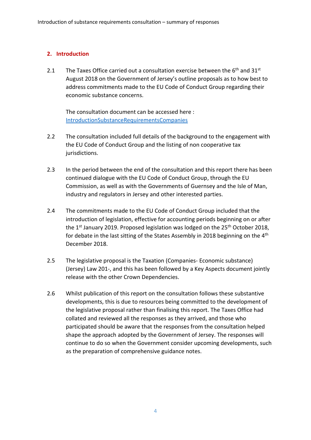#### <span id="page-3-0"></span>**2. Introduction**

2.1 The Taxes Office carried out a consultation exercise between the  $6<sup>th</sup>$  and  $31<sup>st</sup>$ August 2018 on the Government of Jersey's outline proposals as to how best to address commitments made to the EU Code of Conduct Group regarding their economic substance concerns.

The consultation document can be accessed here : [IntroductionSubstanceRequirementsCompanies](https://www.gov.je/Government/Consultations/Pages/IntroductionSubstanceRequirementsCompanies.aspx)

- 2.2 The consultation included full details of the background to the engagement with the EU Code of Conduct Group and the listing of non cooperative tax jurisdictions.
- 2.3 In the period between the end of the consultation and this report there has been continued dialogue with the EU Code of Conduct Group, through the EU Commission, as well as with the Governments of Guernsey and the Isle of Man, industry and regulators in Jersey and other interested parties.
- 2.4 The commitments made to the EU Code of Conduct Group included that the introduction of legislation, effective for accounting periods beginning on or after the 1<sup>st</sup> January 2019. Proposed legislation was lodged on the 25<sup>th</sup> October 2018, for debate in the last sitting of the States Assembly in 2018 beginning on the 4th December 2018.
- 2.5 The legislative proposal is the Taxation (Companies- Economic substance) (Jersey) Law 201-, and this has been followed by a Key Aspects document jointly release with the other Crown Dependencies.
- 2.6 Whilst publication of this report on the consultation follows these substantive developments, this is due to resources being committed to the development of the legislative proposal rather than finalising this report. The Taxes Office had collated and reviewed all the responses as they arrived, and those who participated should be aware that the responses from the consultation helped shape the approach adopted by the Government of Jersey. The responses will continue to do so when the Government consider upcoming developments, such as the preparation of comprehensive guidance notes.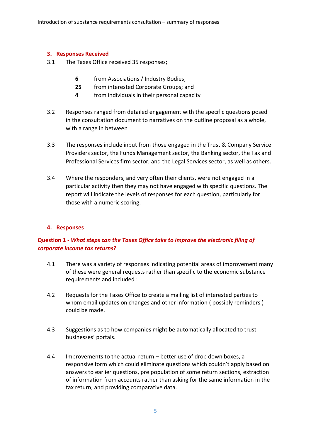#### <span id="page-4-0"></span>**3. Responses Received**

- 3.1 The Taxes Office received 35 responses;
	- **6** from Associations / Industry Bodies;
	- **25** from interested Corporate Groups; and
	- **4** from individuals in their personal capacity
- 3.2 Responses ranged from detailed engagement with the specific questions posed in the consultation document to narratives on the outline proposal as a whole, with a range in between
- 3.3 The responses include input from those engaged in the Trust & Company Service Providers sector, the Funds Management sector, the Banking sector, the Tax and Professional Services firm sector, and the Legal Services sector, as well as others.
- 3.4 Where the responders, and very often their clients, were not engaged in a particular activity then they may not have engaged with specific questions. The report will indicate the levels of responses for each question, particularly for those with a numeric scoring.

#### <span id="page-4-1"></span>**4. Responses**

#### <span id="page-4-2"></span>**Question 1 -** *What steps can the Taxes Office take to improve the electronic filing of corporate income tax returns?*

- 4.1 There was a variety of responses indicating potential areas of improvement many of these were general requests rather than specific to the economic substance requirements and included :
- 4.2 Requests for the Taxes Office to create a mailing list of interested parties to whom email updates on changes and other information (possibly reminders) could be made.
- 4.3 Suggestions as to how companies might be automatically allocated to trust businesses' portals.
- 4.4 Improvements to the actual return better use of drop down boxes, a responsive form which could eliminate questions which couldn't apply based on answers to earlier questions, pre population of some return sections, extraction of information from accounts rather than asking for the same information in the tax return, and providing comparative data.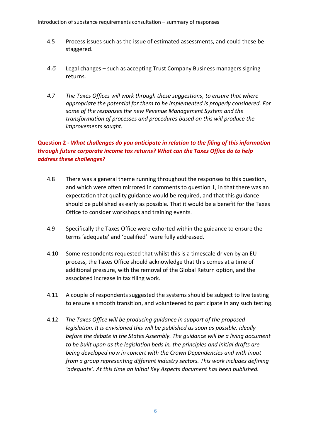- 4.5 Process issues such as the issue of estimated assessments, and could these be staggered.
- *4.6* Legal changes such as accepting Trust Company Business managers signing returns.
- *4.7 The Taxes Offices will work through these suggestions, to ensure that where appropriate the potential for them to be implemented is properly considered. For some of the responses the new Revenue Management System and the transformation of processes and procedures based on this will produce the improvements sought.*

#### <span id="page-5-0"></span>**Question 2 -** *What challenges do you anticipate in relation to the filing of this information through future corporate income tax returns? What can the Taxes Office do to help address these challenges?*

- 4.8 There was a general theme running throughout the responses to this question, and which were often mirrored in comments to question 1, in that there was an expectation that quality guidance would be required, and that this guidance should be published as early as possible. That it would be a benefit for the Taxes Office to consider workshops and training events.
- 4.9 Specifically the Taxes Office were exhorted within the guidance to ensure the terms 'adequate' and 'qualified' were fully addressed.
- 4.10 Some respondents requested that whilst this is a timescale driven by an EU process, the Taxes Office should acknowledge that this comes at a time of additional pressure, with the removal of the Global Return option, and the associated increase in tax filing work.
- 4.11 A couple of respondents suggested the systems should be subject to live testing to ensure a smooth transition, and volunteered to participate in any such testing.
- 4.12 *The Taxes Office will be producing guidance in support of the proposed legislation. It is envisioned this will be published as soon as possible, ideally before the debate in the States Assembly. The guidance will be a living document to be built upon as the legislation beds in, the principles and initial drafts are being developed now in concert with the Crown Dependencies and with input from a group representing different industry sectors. This work includes defining 'adequate'. At this time an initial Key Aspects document has been published.*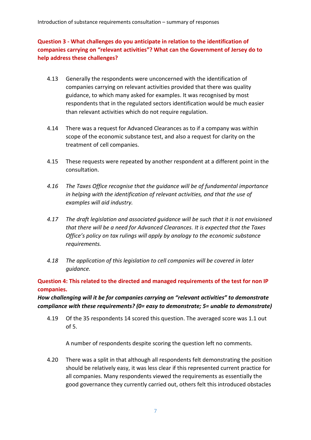#### <span id="page-6-0"></span>**Question 3 - What challenges do you anticipate in relation to the identification of companies carrying on "relevant activities"? What can the Government of Jersey do to help address these challenges?**

- 4.13 Generally the respondents were unconcerned with the identification of companies carrying on relevant activities provided that there was quality guidance, to which many asked for examples. It was recognised by most respondents that in the regulated sectors identification would be much easier than relevant activities which do not require regulation.
- 4.14 There was a request for Advanced Clearances as to if a company was within scope of the economic substance test, and also a request for clarity on the treatment of cell companies.
- 4.15 These requests were repeated by another respondent at a different point in the consultation.
- *4.16 The Taxes Office recognise that the guidance will be of fundamental importance in helping with the identification of relevant activities, and that the use of examples will aid industry.*
- *4.17 The draft legislation and associated guidance will be such that it is not envisioned that there will be a need for Advanced Clearances. It is expected that the Taxes Office's policy on tax rulings will apply by analogy to the economic substance requirements.*
- *4.18 The application of this legislation to cell companies will be covered in later guidance.*

<span id="page-6-1"></span>**Question 4: This related to the directed and managed requirements of the test for non IP companies.** 

*How challenging will it be for companies carrying on "relevant activities" to demonstrate compliance with these requirements? (0= easy to demonstrate; 5= unable to demonstrate)* 

4.19 Of the 35 respondents 14 scored this question. The averaged score was 1.1 out of 5.

A number of respondents despite scoring the question left no comments.

4.20 There was a split in that although all respondents felt demonstrating the position should be relatively easy, it was less clear if this represented current practice for all companies. Many respondents viewed the requirements as essentially the good governance they currently carried out, others felt this introduced obstacles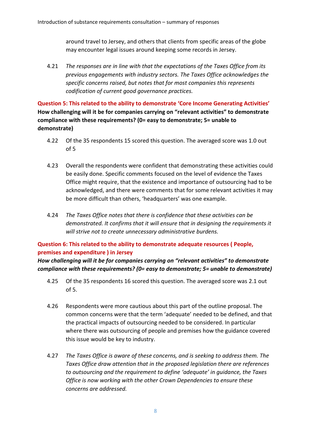around travel to Jersey, and others that clients from specific areas of the globe may encounter legal issues around keeping some records in Jersey.

4.21 *The responses are in line with that the expectations of the Taxes Office from its previous engagements with industry sectors. The Taxes Office acknowledges the specific concerns raised, but notes that for most companies this represents codification of current good governance practices.*

<span id="page-7-0"></span>**Question 5: This related to the ability to demonstrate 'Core Income Generating Activities' How challenging will it be for companies carrying on "relevant activities" to demonstrate compliance with these requirements? (0= easy to demonstrate; 5= unable to demonstrate)**

- 4.22 Of the 35 respondents 15 scored this question. The averaged score was 1.0 out of 5
- 4.23 Overall the respondents were confident that demonstrating these activities could be easily done. Specific comments focused on the level of evidence the Taxes Office might require, that the existence and importance of outsourcing had to be acknowledged, and there were comments that for some relevant activities it may be more difficult than others, 'headquarters' was one example.
- 4.24 *The Taxes Office notes that there is confidence that these activities can be demonstrated. It confirms that it will ensure that in designing the requirements it will strive not to create unnecessary administrative burdens.*

#### <span id="page-7-1"></span>**Question 6: This related to the ability to demonstrate adequate resources ( People, premises and expenditure ) in Jersey**

*How challenging will it be for companies carrying on "relevant activities" to demonstrate compliance with these requirements? (0= easy to demonstrate; 5= unable to demonstrate)*

- 4.25 Of the 35 respondents 16 scored this question. The averaged score was 2.1 out of 5.
- 4.26 Respondents were more cautious about this part of the outline proposal. The common concerns were that the term 'adequate' needed to be defined, and that the practical impacts of outsourcing needed to be considered. In particular where there was outsourcing of people and premises how the guidance covered this issue would be key to industry.
- 4.27 *The Taxes Office is aware of these concerns, and is seeking to address them. The Taxes Office draw attention that in the proposed legislation there are references to outsourcing and the requirement to define 'adequate' in guidance, the Taxes Office is now working with the other Crown Dependencies to ensure these concerns are addressed.*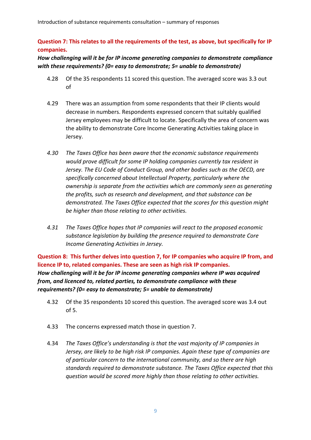#### <span id="page-8-0"></span>**Question 7: This relates to all the requirements of the test, as above, but specifically for IP companies.**

#### *How challenging will it be for IP income generating companies to demonstrate compliance with these requirements? (0= easy to demonstrate; 5= unable to demonstrate)*

- 4.28 Of the 35 respondents 11 scored this question. The averaged score was 3.3 out of
- 4.29 There was an assumption from some respondents that their IP clients would decrease in numbers. Respondents expressed concern that suitably qualified Jersey employees may be difficult to locate. Specifically the area of concern was the ability to demonstrate Core Income Generating Activities taking place in Jersey.
- *4.30 The Taxes Office has been aware that the economic substance requirements would prove difficult for some IP holding companies currently tax resident in Jersey. The EU Code of Conduct Group, and other bodies such as the OECD, are specifically concerned about Intellectual Property, particularly where the ownership is separate from the activities which are commonly seen as generating the profits, such as research and development, and that substance can be demonstrated. The Taxes Office expected that the scores for this question might be higher than those relating to other activities.*
- *4.31 The Taxes Office hopes that IP companies will react to the proposed economic substance legislation by building the presence required to demonstrate Core Income Generating Activities in Jersey.*

<span id="page-8-1"></span>**Question 8: This further delves into question 7, for IP companies who acquire IP from, and licence IP to, related companies. These are seen as high risk IP companies.** *How challenging will it be for IP income generating companies where IP was acquired from, and licenced to, related parties, to demonstrate compliance with these requirements? (0= easy to demonstrate; 5= unable to demonstrate)* 

- 4.32 Of the 35 respondents 10 scored this question. The averaged score was 3.4 out of 5.
- 4.33 The concerns expressed match those in question 7.
- 4.34 *The Taxes Office's understanding is that the vast majority of IP companies in Jersey, are likely to be high risk IP companies. Again these type of companies are of particular concern to the international community, and so there are high standards required to demonstrate substance. The Taxes Office expected that this question would be scored more highly than those relating to other activities.*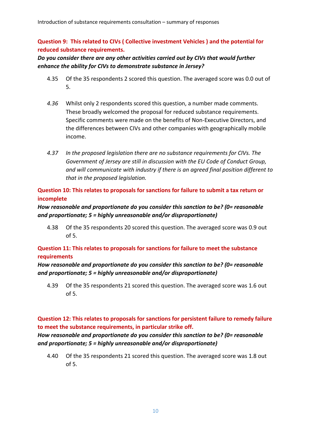#### <span id="page-9-0"></span>**Question 9: This related to CIVs ( Collective investment Vehicles ) and the potential for reduced substance requirements.**

#### *Do you consider there are any other activities carried out by CIVs that would further enhance the ability for CIVs to demonstrate substance in Jersey?*

- 4.35 Of the 35 respondents 2 scored this question. The averaged score was 0.0 out of 5.
- *4.36* Whilst only 2 respondents scored this question, a number made comments. These broadly welcomed the proposal for reduced substance requirements. Specific comments were made on the benefits of Non-Executive Directors, and the differences between CIVs and other companies with geographically mobile income.
- *4.37 In the proposed legislation there are no substance requirements for CIVs. The Government of Jersey are still in discussion with the EU Code of Conduct Group, and will communicate with industry if there is an agreed final position different to that in the proposed legislation.*

#### <span id="page-9-1"></span>**Question 10: This relates to proposals for sanctions for failure to submit a tax return or incomplete**

#### *How reasonable and proportionate do you consider this sanction to be? (0= reasonable and proportionate; 5 = highly unreasonable and/or disproportionate)*

4.38 Of the 35 respondents 20 scored this question. The averaged score was 0.9 out of 5.

#### <span id="page-9-2"></span>**Question 11: This relates to proposals for sanctions for failure to meet the substance requirements**

#### *How reasonable and proportionate do you consider this sanction to be? (0= reasonable and proportionate; 5 = highly unreasonable and/or disproportionate)*

4.39 Of the 35 respondents 21 scored this question. The averaged score was 1.6 out of 5.

#### <span id="page-9-3"></span>**Question 12: This relates to proposals for sanctions for persistent failure to remedy failure to meet the substance requirements, in particular strike off.**

#### *How reasonable and proportionate do you consider this sanction to be? (0= reasonable and proportionate; 5 = highly unreasonable and/or disproportionate)*

4.40 Of the 35 respondents 21 scored this question. The averaged score was 1.8 out of 5.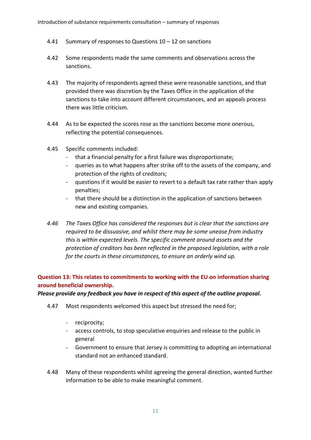- 4.41 Summary of responses to Questions 10 12 on sanctions
- 4.42 Some respondents made the same comments and observations across the sanctions.
- 4.43 The majority of respondents agreed these were reasonable sanctions, and that provided there was discretion by the Taxes Office in the application of the sanctions to take into account different circumstances, and an appeals process there was little criticism.
- 4.44 As to be expected the scores rose as the sanctions become more onerous, reflecting the potential consequences.
- 4.45 Specific comments included:
	- that a financial penalty for a first failure was disproportionate;
	- queries as to what happens after strike off to the assets of the company, and protection of the rights of creditors;
	- questions if it would be easier to revert to a default tax rate rather than apply penalties;
	- that there should be a distinction in the application of sanctions between new and existing companies.
- *4.46 The Taxes Office has considered the responses but is clear that the sanctions are required to be dissuasive, and whilst there may be some unease from industry this is within expected levels. The specific comment around assets and the protection of creditors has been reflected in the proposed legislation, with a role for the courts in these circumstances, to ensure an orderly wind up.*

#### <span id="page-10-0"></span>**Question 13: This relates to commitments to working with the EU on information sharing around beneficial ownership.**

#### *Please provide any feedback you have in respect of this aspect of the outline proposal.*

- 4.47 Most respondents welcomed this aspect but stressed the need for;
	- reciprocity;
	- access controls, to stop speculative enquiries and release to the public in general
	- Government to ensure that Jersey is committing to adopting an international standard not an enhanced standard.
- 4.48 Many of these respondents whilst agreeing the general direction, wanted further information to be able to make meaningful comment.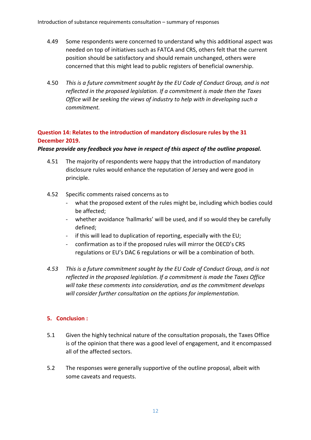- 4.49 Some respondents were concerned to understand why this additional aspect was needed on top of initiatives such as FATCA and CRS, others felt that the current position should be satisfactory and should remain unchanged, others were concerned that this might lead to public registers of beneficial ownership.
- 4.50 *This is a future commitment sought by the EU Code of Conduct Group, and is not reflected in the proposed legislation. If a commitment is made then the Taxes Office will be seeking the views of industry to help with in developing such a commitment.*

#### <span id="page-11-0"></span>**Question 14: Relates to the introduction of mandatory disclosure rules by the 31 December 2019.**

#### *Please provide any feedback you have in respect of this aspect of the outline proposal.*

- 4.51 The majority of respondents were happy that the introduction of mandatory disclosure rules would enhance the reputation of Jersey and were good in principle.
- 4.52 Specific comments raised concerns as to
	- what the proposed extent of the rules might be, including which bodies could be affected;
	- whether avoidance 'hallmarks' will be used, and if so would they be carefully defined;
	- if this will lead to duplication of reporting, especially with the EU;
	- confirmation as to if the proposed rules will mirror the OECD's CRS regulations or EU's DAC 6 regulations or will be a combination of both.
- *4.53 This is a future commitment sought by the EU Code of Conduct Group, and is not reflected in the proposed legislation. If a commitment is made the Taxes Office will take these comments into consideration, and as the commitment develops will consider further consultation on the options for implementation.*

#### <span id="page-11-1"></span>**5. Conclusion :**

- 5.1 Given the highly technical nature of the consultation proposals, the Taxes Office is of the opinion that there was a good level of engagement, and it encompassed all of the affected sectors.
- 5.2 The responses were generally supportive of the outline proposal, albeit with some caveats and requests.